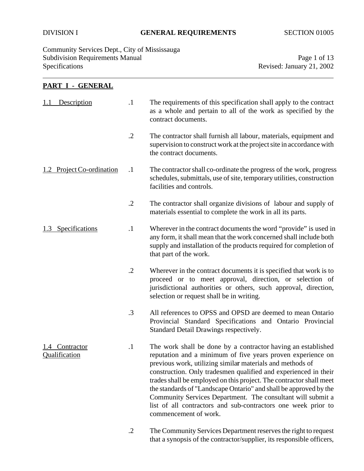Community Services Dept., City of Mississauga Subdivision Requirements Manual Page 1 of 13<br>Specifications Revised: January 21, 2002

Revised: January 21, 2002

# **PART I - GENERAL**

| Description<br>1.1              | $\cdot$ 1  | The requirements of this specification shall apply to the contract<br>as a whole and pertain to all of the work as specified by the<br>contract documents.                                                                                                                                                                                                                                                                                                                                                                                                       |  |
|---------------------------------|------------|------------------------------------------------------------------------------------------------------------------------------------------------------------------------------------------------------------------------------------------------------------------------------------------------------------------------------------------------------------------------------------------------------------------------------------------------------------------------------------------------------------------------------------------------------------------|--|
|                                 | $\cdot$ .2 | The contractor shall furnish all labour, materials, equipment and<br>supervision to construct work at the project site in accordance with<br>the contract documents.                                                                                                                                                                                                                                                                                                                                                                                             |  |
| 1.2 Project Co-ordination       | $\cdot$ 1  | The contractor shall co-ordinate the progress of the work, progress<br>schedules, submittals, use of site, temporary utilities, construction<br>facilities and controls.                                                                                                                                                                                                                                                                                                                                                                                         |  |
|                                 | $\cdot$    | The contractor shall organize divisions of labour and supply of<br>materials essential to complete the work in all its parts.                                                                                                                                                                                                                                                                                                                                                                                                                                    |  |
| 1.3 Specifications              | $\cdot$    | Wherever in the contract documents the word "provide" is used in<br>any form, it shall mean that the work concerned shall include both<br>supply and installation of the products required for completion of<br>that part of the work.                                                                                                                                                                                                                                                                                                                           |  |
|                                 | $\cdot$ .2 | Wherever in the contract documents it is specified that work is to<br>proceed or to meet approval, direction, or selection of<br>jurisdictional authorities or others, such approval, direction,<br>selection or request shall be in writing.                                                                                                                                                                                                                                                                                                                    |  |
|                                 | .3         | All references to OPSS and OPSD are deemed to mean Ontario<br>Provincial Standard Specifications and Ontario Provincial<br>Standard Detail Drawings respectively.                                                                                                                                                                                                                                                                                                                                                                                                |  |
| 1.4 Contractor<br>Qualification | $\cdot$ 1  | The work shall be done by a contractor having an established<br>reputation and a minimum of five years proven experience on<br>previous work, utilizing similar materials and methods of<br>construction. Only tradesmen qualified and experienced in their<br>trades shall be employed on this project. The contractor shall meet<br>the standards of "Landscape Ontario" and shall be approved by the<br>Community Services Department. The consultant will submit a<br>list of all contractors and sub-contractors one week prior to<br>commencement of work. |  |
|                                 | .2         | The Community Services Department reserves the right to request                                                                                                                                                                                                                                                                                                                                                                                                                                                                                                  |  |

that a synopsis of the contractor/supplier, its responsible officers,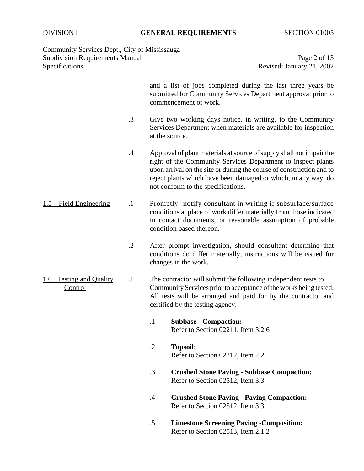Community Services Dept., City of Mississauga Subdivision Requirements Manual **Page 2 of 13** Specifications Revised: January 21, 2002

|                                    |            | and a list of jobs completed during the last three years be<br>submitted for Community Services Department approval prior to<br>commencement of work.                                                                                                                                                                |  |
|------------------------------------|------------|----------------------------------------------------------------------------------------------------------------------------------------------------------------------------------------------------------------------------------------------------------------------------------------------------------------------|--|
|                                    | .3         | Give two working days notice, in writing, to the Community<br>Services Department when materials are available for inspection<br>at the source.                                                                                                                                                                      |  |
|                                    | $\cdot$ 4  | Approval of plant materials at source of supply shall not impair the<br>right of the Community Services Department to inspect plants<br>upon arrival on the site or during the course of construction and to<br>reject plants which have been damaged or which, in any way, do<br>not conform to the specifications. |  |
| <b>Field Engineering</b><br>1.5    | $\cdot$ 1  | Promptly notify consultant in writing if subsurface/surface<br>conditions at place of work differ materially from those indicated<br>in contact documents, or reasonable assumption of probable<br>condition based thereon.                                                                                          |  |
|                                    | $\cdot$ .2 | After prompt investigation, should consultant determine that<br>conditions do differ materially, instructions will be issued for<br>changes in the work.                                                                                                                                                             |  |
| 1.6 Testing and Quality<br>Control | $\cdot$ 1  | The contractor will submit the following independent tests to<br>Community Services prior to acceptance of the works being tested.<br>All tests will be arranged and paid for by the contractor and<br>certified by the testing agency.                                                                              |  |
|                                    |            | <b>Subbase - Compaction:</b><br>$\cdot$<br>Refer to Section 02211, Item 3.2.6                                                                                                                                                                                                                                        |  |
|                                    |            | $\cdot$<br><b>Topsoil:</b><br>Refer to Section 02212, Item 2.2                                                                                                                                                                                                                                                       |  |
|                                    |            | $\cdot$ 3<br><b>Crushed Stone Paving - Subbase Compaction:</b><br>Refer to Section 02512, Item 3.3                                                                                                                                                                                                                   |  |
|                                    |            | <b>Crushed Stone Paving - Paving Compaction:</b><br>$\cdot$<br>Refer to Section 02512, Item 3.3                                                                                                                                                                                                                      |  |
|                                    |            | .5<br><b>Limestone Screening Paving - Composition:</b><br>Refer to Section 02513, Item 2.1.2                                                                                                                                                                                                                         |  |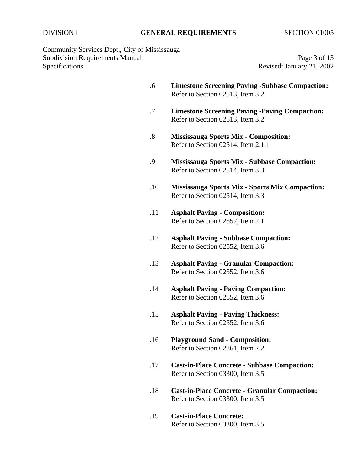Community Services Dept., City of Mississauga Subdivision Requirements Manual **Page 3 of 13** Specifications Revised: January 21, 2002

| .6                | <b>Limestone Screening Paving -Subbase Compaction:</b><br>Refer to Section 02513, Item 3.2 |
|-------------------|--------------------------------------------------------------------------------------------|
| .7                | <b>Limestone Screening Paving -Paving Compaction:</b><br>Refer to Section 02513, Item 3.2  |
| $\boldsymbol{.8}$ | <b>Mississauga Sports Mix - Composition:</b><br>Refer to Section 02514, Item 2.1.1         |
| .9                | <b>Mississauga Sports Mix - Subbase Compaction:</b><br>Refer to Section 02514, Item 3.3    |
| .10               | <b>Mississauga Sports Mix - Sports Mix Compaction:</b><br>Refer to Section 02514, Item 3.3 |
| .11               | <b>Asphalt Paving - Composition:</b><br>Refer to Section 02552, Item 2.1                   |
| .12               | <b>Asphalt Paving - Subbase Compaction:</b><br>Refer to Section 02552, Item 3.6            |
| .13               | <b>Asphalt Paving - Granular Compaction:</b><br>Refer to Section 02552, Item 3.6           |
| .14               | <b>Asphalt Paving - Paving Compaction:</b><br>Refer to Section 02552, Item 3.6             |
| .15               | <b>Asphalt Paving - Paving Thickness:</b><br>Refer to Section 02552, Item 3.6              |
| .16               | <b>Playground Sand - Composition:</b><br>Refer to Section 02861, Item 2.2                  |
| .17               | <b>Cast-in-Place Concrete - Subbase Compaction:</b><br>Refer to Section 03300, Item 3.5    |
| .18               | <b>Cast-in-Place Concrete - Granular Compaction:</b><br>Refer to Section 03300, Item 3.5   |
| .19               | <b>Cast-in-Place Concrete:</b><br>Refer to Section 03300, Item 3.5                         |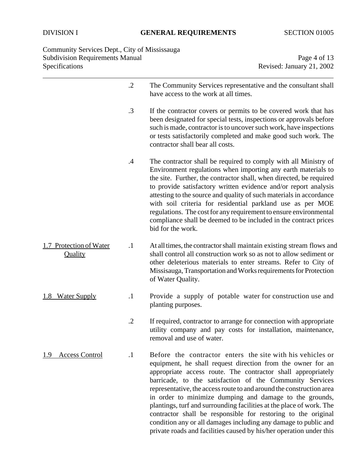Community Services Dept., City of Mississauga Subdivision Requirements Manual **Page 4 of 13** Specifications Revised: January 21, 2002

|                                           | $\cdot$ .2 | The Community Services representative and the consultant shall<br>have access to the work at all times.                                                                                                                                                                                                                                                                                                                                                                                                                                                                                                                                                                     |
|-------------------------------------------|------------|-----------------------------------------------------------------------------------------------------------------------------------------------------------------------------------------------------------------------------------------------------------------------------------------------------------------------------------------------------------------------------------------------------------------------------------------------------------------------------------------------------------------------------------------------------------------------------------------------------------------------------------------------------------------------------|
|                                           | .3         | If the contractor covers or permits to be covered work that has<br>been designated for special tests, inspections or approvals before<br>such is made, contractor is to uncover such work, have inspections<br>or tests satisfactorily completed and make good such work. The<br>contractor shall bear all costs.                                                                                                                                                                                                                                                                                                                                                           |
|                                           | .4         | The contractor shall be required to comply with all Ministry of<br>Environment regulations when importing any earth materials to<br>the site. Further, the contractor shall, when directed, be required<br>to provide satisfactory written evidence and/or report analysis<br>attesting to the source and quality of such materials in accordance<br>with soil criteria for residential parkland use as per MOE<br>regulations. The cost for any requirement to ensure environmental<br>compliance shall be deemed to be included in the contract prices<br>bid for the work.                                                                                               |
| 1.7 Protection of Water<br><b>Quality</b> | $\cdot$    | At all times, the contractor shall maintain existing stream flows and<br>shall control all construction work so as not to allow sediment or<br>other deleterious materials to enter streams. Refer to City of<br>Missisauga, Transportation and Works requirements for Protection<br>of Water Quality.                                                                                                                                                                                                                                                                                                                                                                      |
| 1.8 Water Supply                          | $\cdot$    | Provide a supply of potable water for construction use and<br>planting purposes.                                                                                                                                                                                                                                                                                                                                                                                                                                                                                                                                                                                            |
|                                           | $\cdot$ .2 | If required, contractor to arrange for connection with appropriate<br>utility company and pay costs for installation, maintenance,<br>removal and use of water.                                                                                                                                                                                                                                                                                                                                                                                                                                                                                                             |
| 1.9 Access Control                        | $\cdot$    | Before the contractor enters the site with his vehicles or<br>equipment, he shall request direction from the owner for an<br>appropriate access route. The contractor shall appropriately<br>barricade, to the satisfaction of the Community Services<br>representative, the access route to and around the construction area<br>in order to minimize dumping and damage to the grounds,<br>plantings, turf and surrounding facilities at the place of work. The<br>contractor shall be responsible for restoring to the original<br>condition any or all damages including any damage to public and<br>private roads and facilities caused by his/her operation under this |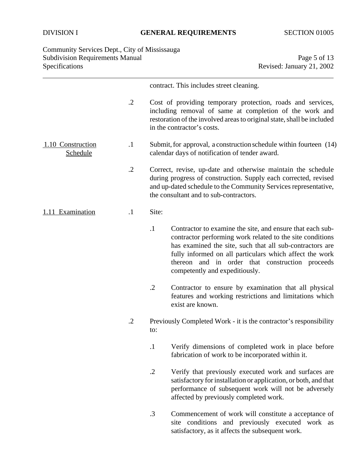# DIVISION I **GENERAL REQUIREMENTS** SECTION 01005

#### Community Services Dept., City of Mississauga Subdivision Requirements Manual **Page 5 of 13** Page 5 of 13 Specifications Revised: January 21, 2002

|                               |            | contract. This includes street cleaning.                                                                                                                                                                                                                                                                                                      |  |
|-------------------------------|------------|-----------------------------------------------------------------------------------------------------------------------------------------------------------------------------------------------------------------------------------------------------------------------------------------------------------------------------------------------|--|
|                               | $\cdot$ .2 | Cost of providing temporary protection, roads and services,<br>including removal of same at completion of the work and<br>restoration of the involved areas to original state, shall be included<br>in the contractor's costs.                                                                                                                |  |
| 1.10 Construction<br>Schedule | $\cdot$ 1  | Submit, for approval, a construction schedule within fourteen (14)<br>calendar days of notification of tender award.                                                                                                                                                                                                                          |  |
|                               | $\cdot$ .2 | Correct, revise, up-date and otherwise maintain the schedule<br>during progress of construction. Supply each corrected, revised<br>and up-dated schedule to the Community Services representative,<br>the consultant and to sub-contractors.                                                                                                  |  |
| 1.11 Examination              | $\cdot$ 1  | Site:                                                                                                                                                                                                                                                                                                                                         |  |
|                               |            | $\cdot$<br>Contractor to examine the site, and ensure that each sub-<br>contractor performing work related to the site conditions<br>has examined the site, such that all sub-contractors are<br>fully informed on all particulars which affect the work<br>thereon and in order that construction proceeds<br>competently and expeditiously. |  |
|                               |            | $\cdot$ .2<br>Contractor to ensure by examination that all physical<br>features and working restrictions and limitations which<br>exist are known.                                                                                                                                                                                            |  |
|                               | $\cdot$ .2 | Previously Completed Work - it is the contractor's responsibility<br>to:                                                                                                                                                                                                                                                                      |  |
|                               |            | $\cdot$ 1<br>Verify dimensions of completed work in place before<br>fabrication of work to be incorporated within it.                                                                                                                                                                                                                         |  |
|                               |            | $\cdot$ .2<br>Verify that previously executed work and surfaces are<br>satisfactory for installation or application, or both, and that<br>performance of subsequent work will not be adversely<br>affected by previously completed work.                                                                                                      |  |
|                               |            | $\cdot$ 3<br>Commencement of work will constitute a acceptance of<br>site conditions and previously executed work as<br>satisfactory, as it affects the subsequent work.                                                                                                                                                                      |  |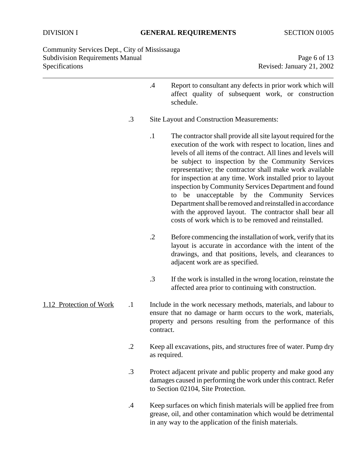Community Services Dept., City of Mississauga Subdivision Requirements Manual Page 6 of 13 Specifications Revised: January 21, 2002

- .4 Report to consultant any defects in prior work which will affect quality of subsequent work, or construction schedule.
- .3 Site Layout and Construction Measurements:
	- .1 The contractor shall provide all site layout required for the execution of the work with respect to location, lines and levels of all items of the contract. All lines and levels will be subject to inspection by the Community Services representative; the contractor shall make work available for inspection at any time. Work installed prior to layout inspection by Community Services Department and found to be unacceptable by the Community Services Department shall be removed and reinstalled in accordance with the approved layout. The contractor shall bear all costs of work which is to be removed and reinstalled.
	- .2 Before commencing the installation of work, verify that its layout is accurate in accordance with the intent of the drawings, and that positions, levels, and clearances to adjacent work are as specified.
	- .3 If the work is installed in the wrong location, reinstate the affected area prior to continuing with construction.
- 1.12 Protection of Work .1 Include in the work necessary methods, materials, and labour to ensure that no damage or harm occurs to the work, materials, property and persons resulting from the performance of this contract.
	- .2 Keep all excavations, pits, and structures free of water. Pump dry as required.
	- .3 Protect adjacent private and public property and make good any damages caused in performing the work under this contract. Refer to Section 02104, Site Protection.
	- .4 Keep surfaces on which finish materials will be applied free from grease, oil, and other contamination which would be detrimental in any way to the application of the finish materials.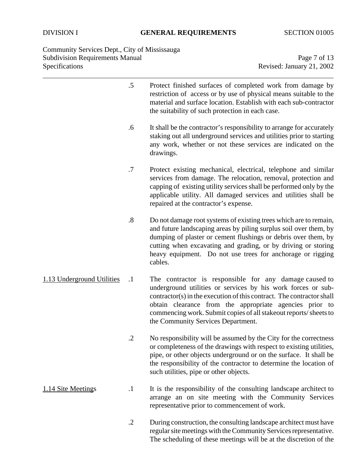Community Services Dept., City of Mississauga Subdivision Requirements Manual **Page 7 of 13** Page 7 of 13 Specifications Revised: January 21, 2002

|                            | $.5\,$            | Protect finished surfaces of completed work from damage by<br>restriction of access or by use of physical means suitable to the<br>material and surface location. Establish with each sub-contractor<br>the suitability of such protection in each case.                                                                                                             |
|----------------------------|-------------------|----------------------------------------------------------------------------------------------------------------------------------------------------------------------------------------------------------------------------------------------------------------------------------------------------------------------------------------------------------------------|
|                            | .6                | It shall be the contractor's responsibility to arrange for accurately<br>staking out all underground services and utilities prior to starting<br>any work, whether or not these services are indicated on the<br>drawings.                                                                                                                                           |
|                            | .7                | Protect existing mechanical, electrical, telephone and similar<br>services from damage. The relocation, removal, protection and<br>capping of existing utility services shall be performed only by the<br>applicable utility. All damaged services and utilities shall be<br>repaired at the contractor's expense.                                                   |
|                            | $\boldsymbol{.8}$ | Do not damage root systems of existing trees which are to remain,<br>and future landscaping areas by piling surplus soil over them, by<br>dumping of plaster or cement flushings or debris over them, by<br>cutting when excavating and grading, or by driving or storing<br>heavy equipment. Do not use trees for anchorage or rigging<br>cables.                   |
| 1.13 Underground Utilities | $\cdot$           | The contractor is responsible for any damage caused to<br>underground utilities or services by his work forces or sub-<br>contractor(s) in the execution of this contract. The contractor shall<br>obtain clearance from the appropriate agencies prior to<br>commencing work. Submit copies of all stakeout reports/sheets to<br>the Community Services Department. |
|                            |                   | No responsibility will be assumed by the City for the correctness<br>or completeness of the drawings with respect to existing utilities,<br>pipe, or other objects underground or on the surface. It shall be<br>the responsibility of the contractor to determine the location of<br>such utilities, pipe or other objects.                                         |
| 1.14 Site Meetings         | $\cdot$           | It is the responsibility of the consulting landscape architect to<br>arrange an on site meeting with the Community Services<br>representative prior to commencement of work.                                                                                                                                                                                         |
|                            | $\cdot$ .2        | During construction, the consulting landscape architect must have<br>regular site meetings with the Community Services representative.                                                                                                                                                                                                                               |

The scheduling of these meetings will be at the discretion of the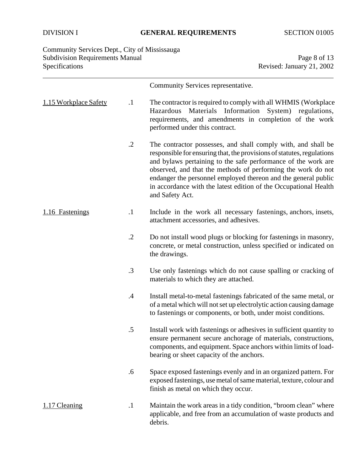# Community Services Dept., City of Mississauga Subdivision Requirements Manual **Page 8** of 13 Specifications Revised: January 21, 2002

|                       |           | Community Services representative.                                                                                                                                                                                                                                                                                                                                                                                                |
|-----------------------|-----------|-----------------------------------------------------------------------------------------------------------------------------------------------------------------------------------------------------------------------------------------------------------------------------------------------------------------------------------------------------------------------------------------------------------------------------------|
| 1.15 Workplace Safety | $\cdot$   | The contractor is required to comply with all WHMIS (Workplace<br>Hazardous Materials Information System) regulations,<br>requirements, and amendments in completion of the work<br>performed under this contract.                                                                                                                                                                                                                |
|                       | $\cdot$   | The contractor possesses, and shall comply with, and shall be<br>responsible for ensuring that, the provisions of statutes, regulations<br>and bylaws pertaining to the safe performance of the work are<br>observed, and that the methods of performing the work do not<br>endanger the personnel employed thereon and the general public<br>in accordance with the latest edition of the Occupational Health<br>and Safety Act. |
| 1.16 Fastenings       | $\cdot$ 1 | Include in the work all necessary fastenings, anchors, insets,<br>attachment accessories, and adhesives.                                                                                                                                                                                                                                                                                                                          |
|                       | $\cdot$   | Do not install wood plugs or blocking for fastenings in masonry,<br>concrete, or metal construction, unless specified or indicated on<br>the drawings.                                                                                                                                                                                                                                                                            |
|                       | $\cdot$ 3 | Use only fastenings which do not cause spalling or cracking of<br>materials to which they are attached.                                                                                                                                                                                                                                                                                                                           |
|                       | .4        | Install metal-to-metal fastenings fabricated of the same metal, or<br>of a metal which will not set up electrolytic action causing damage<br>to fastenings or components, or both, under moist conditions.                                                                                                                                                                                                                        |
|                       | .5        | Install work with fastenings or adhesives in sufficient quantity to<br>ensure permanent secure anchorage of materials, constructions,<br>components, and equipment. Space anchors within limits of load-<br>bearing or sheet capacity of the anchors.                                                                                                                                                                             |
|                       | .6        | Space exposed fastenings evenly and in an organized pattern. For<br>exposed fastenings, use metal of same material, texture, colour and<br>finish as metal on which they occur.                                                                                                                                                                                                                                                   |
| 1.17 Cleaning         | $\cdot$ 1 | Maintain the work areas in a tidy condition, "broom clean" where<br>applicable, and free from an accumulation of waste products and<br>debris.                                                                                                                                                                                                                                                                                    |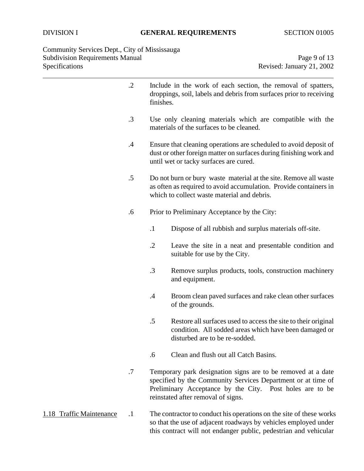Community Services Dept., City of Mississauga Subdivision Requirements Manual **Page 9 of 13** Specifications Revised: January 21, 2002

|                          | $\cdot$ .2 | Include in the work of each section, the removal of spatters,<br>droppings, soil, labels and debris from surfaces prior to receiving<br>finishes.                                                                              |  |  |
|--------------------------|------------|--------------------------------------------------------------------------------------------------------------------------------------------------------------------------------------------------------------------------------|--|--|
|                          | $\cdot$ 3  | Use only cleaning materials which are compatible with the<br>materials of the surfaces to be cleaned.                                                                                                                          |  |  |
|                          | $\cdot$    | Ensure that cleaning operations are scheduled to avoid deposit of<br>dust or other foreign matter on surfaces during finishing work and<br>until wet or tacky surfaces are cured.                                              |  |  |
|                          | $.5\,$     | Do not burn or bury waste material at the site. Remove all waste<br>as often as required to avoid accumulation. Provide containers in<br>which to collect waste material and debris.                                           |  |  |
|                          | .6         | Prior to Preliminary Acceptance by the City:                                                                                                                                                                                   |  |  |
|                          |            | $\cdot$ 1<br>Dispose of all rubbish and surplus materials off-site.                                                                                                                                                            |  |  |
|                          |            | $\cdot$ .2<br>Leave the site in a neat and presentable condition and<br>suitable for use by the City.                                                                                                                          |  |  |
|                          |            | $\cdot$ 3<br>Remove surplus products, tools, construction machinery<br>and equipment.                                                                                                                                          |  |  |
|                          |            | Broom clean paved surfaces and rake clean other surfaces<br>$\cdot$<br>of the grounds.                                                                                                                                         |  |  |
|                          |            | $.5\,$<br>Restore all surfaces used to access the site to their original<br>condition. All sodded areas which have been damaged or<br>disturbed are to be re-sodded.                                                           |  |  |
|                          |            | Clean and flush out all Catch Basins.<br>.6                                                                                                                                                                                    |  |  |
|                          | $.7\,$     | Temporary park designation signs are to be removed at a date<br>specified by the Community Services Department or at time of<br>Preliminary Acceptance by the City. Post holes are to be<br>reinstated after removal of signs. |  |  |
| 1.18 Traffic Maintenance | $\cdot$ 1  | The contractor to conduct his operations on the site of these works<br>so that the use of adjacent roadways by vehicles employed under<br>this contract will not endanger public, pedestrian and vehicular                     |  |  |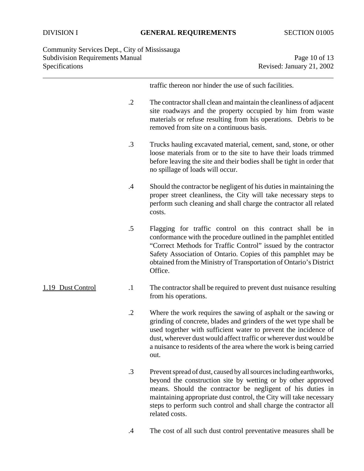# DIVISION I **GENERAL REQUIREMENTS** SECTION 01005

Community Services Dept., City of Mississauga Subdivision Requirements Manual Page 10 of 13<br>Specifications Revised: January 21, 2002

Revised: January 21, 2002

|                   |            | traffic thereon nor hinder the use of such facilities.                                                                                                                                                                                                                                                                                                         |
|-------------------|------------|----------------------------------------------------------------------------------------------------------------------------------------------------------------------------------------------------------------------------------------------------------------------------------------------------------------------------------------------------------------|
|                   | $\cdot$ .2 | The contractor shall clean and maintain the cleanliness of adjacent<br>site roadways and the property occupied by him from waste<br>materials or refuse resulting from his operations. Debris to be<br>removed from site on a continuous basis.                                                                                                                |
|                   | .3         | Trucks hauling excavated material, cement, sand, stone, or other<br>loose materials from or to the site to have their loads trimmed<br>before leaving the site and their bodies shall be tight in order that<br>no spillage of loads will occur.                                                                                                               |
|                   | .4         | Should the contractor be negligent of his duties in maintaining the<br>proper street cleanliness, the City will take necessary steps to<br>perform such cleaning and shall charge the contractor all related<br>costs.                                                                                                                                         |
|                   | .5         | Flagging for traffic control on this contract shall be in<br>conformance with the procedure outlined in the pamphlet entitled<br>"Correct Methods for Traffic Control" issued by the contractor<br>Safety Association of Ontario. Copies of this pamphlet may be<br>obtained from the Ministry of Transportation of Ontario's District<br>Office.              |
| 1.19 Dust Control | $\cdot$ 1  | The contractor shall be required to prevent dust nuisance resulting<br>from his operations.                                                                                                                                                                                                                                                                    |
|                   | $\cdot$ .2 | Where the work requires the sawing of asphalt or the sawing or<br>grinding of concrete, blades and grinders of the wet type shall be<br>used together with sufficient water to prevent the incidence of<br>dust, wherever dust would affect traffic or wherever dust would be<br>a nuisance to residents of the area where the work is being carried<br>out.   |
|                   | $\cdot$ 3  | Prevent spread of dust, caused by all sources including earthworks,<br>beyond the construction site by wetting or by other approved<br>means. Should the contractor be negligent of his duties in<br>maintaining appropriate dust control, the City will take necessary<br>steps to perform such control and shall charge the contractor all<br>related costs. |
|                   |            |                                                                                                                                                                                                                                                                                                                                                                |

.4 The cost of all such dust control preventative measures shall be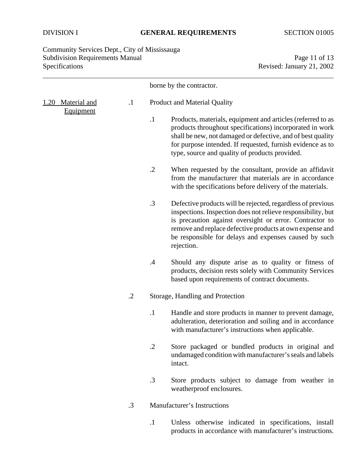## DIVISION I **GENERAL REQUIREMENTS** SECTION 01005

Community Services Dept., City of Mississauga Subdivision Requirements Manual Page 11 of 13<br>Specifications Revised: January 21, 2002

Revised: January 21, 2002

|                                   |            | borne by the contractor.     |                                                                                                                                                                                                                                                                                                                           |  |
|-----------------------------------|------------|------------------------------|---------------------------------------------------------------------------------------------------------------------------------------------------------------------------------------------------------------------------------------------------------------------------------------------------------------------------|--|
| Material and<br>1.20<br>Equipment | $\cdot$    | Product and Material Quality |                                                                                                                                                                                                                                                                                                                           |  |
|                                   |            | $\cdot$ 1                    | Products, materials, equipment and articles (referred to as<br>products throughout specifications) incorporated in work<br>shall be new, not damaged or defective, and of best quality<br>for purpose intended. If requested, furnish evidence as to<br>type, source and quality of products provided.                    |  |
|                                   |            | $\cdot$ .2                   | When requested by the consultant, provide an affidavit<br>from the manufacturer that materials are in accordance<br>with the specifications before delivery of the materials.                                                                                                                                             |  |
|                                   |            | $\cdot$ 3                    | Defective products will be rejected, regardless of previous<br>inspections. Inspection does not relieve responsibility, but<br>is precaution against oversight or error. Contractor to<br>remove and replace defective products at own expense and<br>be responsible for delays and expenses caused by such<br>rejection. |  |
|                                   |            | $\cdot$                      | Should any dispute arise as to quality or fitness of<br>products, decision rests solely with Community Services<br>based upon requirements of contract documents.                                                                                                                                                         |  |
|                                   | $\cdot$ .2 |                              | Storage, Handling and Protection                                                                                                                                                                                                                                                                                          |  |
|                                   |            | $\cdot$                      | Handle and store products in manner to prevent damage,<br>adulteration, deterioration and soiling and in accordance<br>with manufacturer's instructions when applicable.                                                                                                                                                  |  |
|                                   |            | $\cdot$ .2                   | Store packaged or bundled products in original and<br>undamaged condition with manufacturer's seals and labels<br>intact.                                                                                                                                                                                                 |  |
|                                   |            | $\cdot$ 3                    | Store products subject to damage from weather in<br>weatherproof enclosures.                                                                                                                                                                                                                                              |  |
|                                   | $\cdot$ 3  |                              | Manufacturer's Instructions                                                                                                                                                                                                                                                                                               |  |
|                                   |            | $\cdot$                      | Unless otherwise indicated in specifications, install<br>products in accordance with manufacturer's instructions.                                                                                                                                                                                                         |  |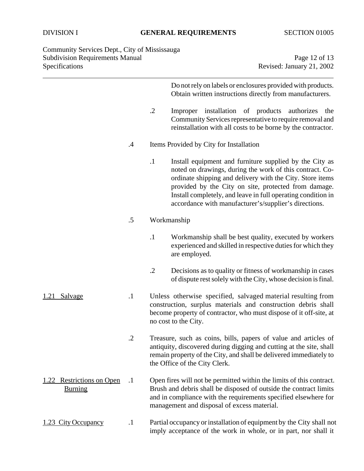Community Services Dept., City of Mississauga Subdivision Requirements Manual Page 12 of 13 Specifications Revised: January 21, 2002

Do not rely on labels or enclosures provided with products. Obtain written instructions directly from manufacturers.

- .2 Improper installation of products authorizes the Community Services representative to require removal and reinstallation with all costs to be borne by the contractor.
- .4 Items Provided by City for Installation
	- .1 Install equipment and furniture supplied by the City as noted on drawings, during the work of this contract. Coordinate shipping and delivery with the City. Store items provided by the City on site, protected from damage. Install completely, and leave in full operating condition in accordance with manufacturer's/supplier's directions.

#### .5 Workmanship

- .1 Workmanship shall be best quality, executed by workers experienced and skilled in respective duties for which they are employed.
- .2 Decisions as to quality or fitness of workmanship in cases of dispute rest solely with the City, whose decision is final.
- 1.21 Salvage .1 Unless otherwise specified, salvaged material resulting from construction, surplus materials and construction debris shall become property of contractor, who must dispose of it off-site, at no cost to the City.
	- .2 Treasure, such as coins, bills, papers of value and articles of antiquity, discovered during digging and cutting at the site, shall remain property of the City, and shall be delivered immediately to the Office of the City Clerk.
- 1.22 Restrictions on Open .1 Open fires will not be permitted within the limits of this contract. Burning Brush and debris shall be disposed of outside the contract limits and in compliance with the requirements specified elsewhere for management and disposal of excess material.
- 1.23 City Occupancy .1 Partial occupancy or installation of equipment by the City shall not imply acceptance of the work in whole, or in part, nor shall it